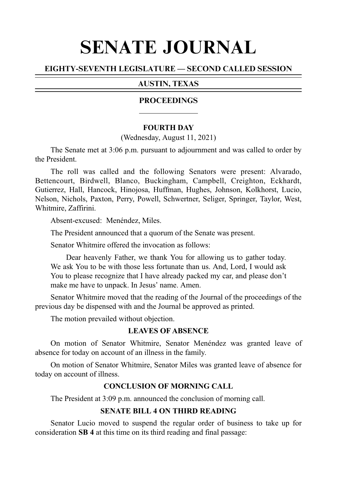# SENATE JOURNAL

# EIGHTY-SEVENTH LEGISLATURE — SECOND CALLED SESSION

# AUSTIN, TEXAS

## PROCEEDINGS

## **FOURTH DAY**

(Wednesday, August 11, 2021)

The Senate met at 3:06 p.m. pursuant to adjournment and was called to order by the President.

The roll was called and the following Senators were present: Alvarado, Bettencourt, Birdwell, Blanco, Buckingham, Campbell, Creighton, Eckhardt, Gutierrez, Hall, Hancock, Hinojosa, Huffman, Hughes, Johnson, Kolkhorst, Lucio, Nelson, Nichols, Paxton, Perry, Powell, Schwertner, Seliger, Springer, Taylor, West, Whitmire, Zaffirini.

Absent-excused: Menéndez, Miles.

The President announced that a quorum of the Senate was present.

Senator Whitmire offered the invocation as follows:

Dear heavenly Father, we thank You for allowing us to gather today. We ask You to be with those less fortunate than us. And, Lord, I would ask You to please recognize that I have already packed my car, and please don't make me have to unpack. In Jesus' name. Amen.

Senator Whitmire moved that the reading of the Journal of the proceedings of the previous day be dispensed with and the Journal be approved as printed.

The motion prevailed without objection.

## **LEAVES OF ABSENCE**

On motion of Senator Whitmire, Senator Menéndez was granted leave of absence for today on account of an illness in the family.

On motion of Senator Whitmire, Senator Miles was granted leave of absence for today on account of illness.

## **CONCLUSION OF MORNING CALL**

The President at 3:09 p.m. announced the conclusion of morning call.

## **SENATE BILL 4 ON THIRD READING**

Senator Lucio moved to suspend the regular order of business to take up for consideration **SB 4** at this time on its third reading and final passage: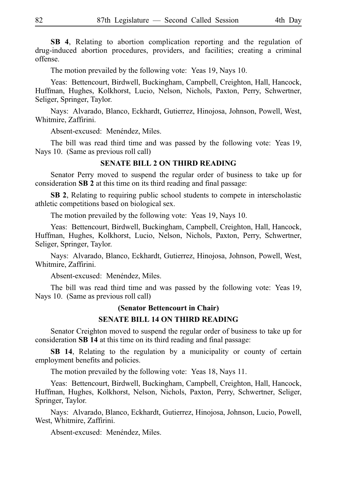**SB 4**, Relating to abortion complication reporting and the regulation of drug-induced abortion procedures, providers, and facilities; creating a criminal offense.

The motion prevailed by the following vote: Yeas 19, Nays 10.

Yeas: Bettencourt, Birdwell, Buckingham, Campbell, Creighton, Hall, Hancock, Huffman, Hughes, Kolkhorst, Lucio, Nelson, Nichols, Paxton, Perry, Schwertner, Seliger, Springer, Taylor.

Nays: Alvarado, Blanco, Eckhardt, Gutierrez, Hinojosa, Johnson, Powell, West, Whitmire, Zaffirini.

Absent-excused: Menéndez, Miles.

The bill was read third time and was passed by the following vote: Yeas 19, Nays 10. (Same as previous roll call)

## **SENATE BILL 2 ON THIRD READING**

Senator Perry moved to suspend the regular order of business to take up for consideration **SB 2** at this time on its third reading and final passage:

**SB 2**, Relating to requiring public school students to compete in interscholastic athletic competitions based on biological sex.

The motion prevailed by the following vote: Yeas 19, Nays 10.

Yeas: Bettencourt, Birdwell, Buckingham, Campbell, Creighton, Hall, Hancock, Huffman, Hughes, Kolkhorst, Lucio, Nelson, Nichols, Paxton, Perry, Schwertner, Seliger, Springer, Taylor.

Nays: Alvarado, Blanco, Eckhardt, Gutierrez, Hinojosa, Johnson, Powell, West, Whitmire, Zaffirini.

Absent-excused: Menéndez, Miles.

The bill was read third time and was passed by the following vote: Yeas 19, Nays 10. (Same as previous roll call)

#### **(Senator Bettencourt in Chair)**

## **SENATE BILL 14 ON THIRD READING**

Senator Creighton moved to suspend the regular order of business to take up for consideration **SB 14** at this time on its third reading and final passage:

**SB 14**, Relating to the regulation by a municipality or county of certain employment benefits and policies.

The motion prevailed by the following vote: Yeas 18, Nays 11.

Yeas: Bettencourt, Birdwell, Buckingham, Campbell, Creighton, Hall, Hancock, Huffman, Hughes, Kolkhorst, Nelson, Nichols, Paxton, Perry, Schwertner, Seliger, Springer, Taylor.

Nays: Alvarado, Blanco, Eckhardt, Gutierrez, Hinojosa, Johnson, Lucio, Powell, West, Whitmire, Zaffirini.

Absent-excused: Menéndez, Miles.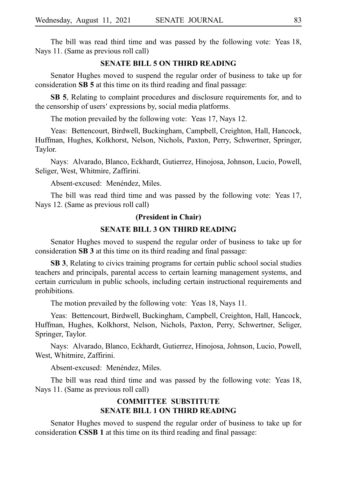The bill was read third time and was passed by the following vote: Yeas 18, Nays 11. (Same as previous roll call)

## **SENATE BILL 5 ON THIRD READING**

Senator Hughes moved to suspend the regular order of business to take up for consideration **SB 5** at this time on its third reading and final passage:

**SB 5**, Relating to complaint procedures and disclosure requirements for, and to the censorship of users 'expressions by, social media platforms.

The motion prevailed by the following vote: Yeas 17, Nays 12.

Yeas: Bettencourt, Birdwell, Buckingham, Campbell, Creighton, Hall, Hancock, Huffman, Hughes, Kolkhorst, Nelson, Nichols, Paxton, Perry, Schwertner, Springer, Taylor.

Nays: Alvarado, Blanco, Eckhardt, Gutierrez, Hinojosa, Johnson, Lucio, Powell, Seliger, West, Whitmire, Zaffirini.

Absent-excused: Menéndez, Miles.

The bill was read third time and was passed by the following vote: Yeas 17, Nays 12. (Same as previous roll call)

#### **(President in Chair)**

## **SENATE BILL 3 ON THIRD READING**

Senator Hughes moved to suspend the regular order of business to take up for consideration **SB 3** at this time on its third reading and final passage:

**SB 3**, Relating to civics training programs for certain public school social studies teachers and principals, parental access to certain learning management systems, and certain curriculum in public schools, including certain instructional requirements and prohibitions.

The motion prevailed by the following vote: Yeas 18, Nays 11.

Yeas: Bettencourt, Birdwell, Buckingham, Campbell, Creighton, Hall, Hancock, Huffman, Hughes, Kolkhorst, Nelson, Nichols, Paxton, Perry, Schwertner, Seliger, Springer, Taylor.

Nays: Alvarado, Blanco, Eckhardt, Gutierrez, Hinojosa, Johnson, Lucio, Powell, West, Whitmire, Zaffirini.

Absent-excused: Menéndez, Miles.

The bill was read third time and was passed by the following vote: Yeas 18, Nays 11. (Same as previous roll call)

## **COMMITTEE SUBSTITUTE SENATE BILL 1 ON THIRD READING**

Senator Hughes moved to suspend the regular order of business to take up for consideration **CSSB 1** at this time on its third reading and final passage: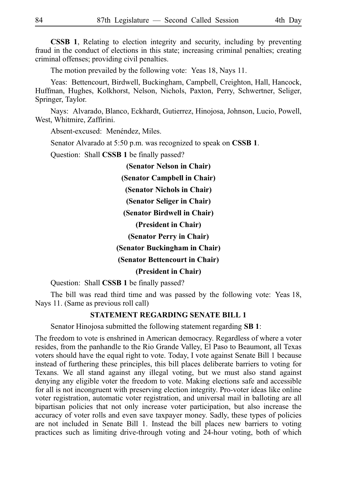**CSSB 1**, Relating to election integrity and security, including by preventing fraud in the conduct of elections in this state; increasing criminal penalties; creating criminal offenses; providing civil penalties.

The motion prevailed by the following vote: Yeas 18, Nays 11.

Yeas: Bettencourt, Birdwell, Buckingham, Campbell, Creighton, Hall, Hancock, Huffman, Hughes, Kolkhorst, Nelson, Nichols, Paxton, Perry, Schwertner, Seliger, Springer, Taylor.

Nays: Alvarado, Blanco, Eckhardt, Gutierrez, Hinojosa, Johnson, Lucio, Powell, West, Whitmire, Zaffirini.

Absent-excused: Menéndez, Miles.

Senator Alvarado at 5:50 p.m. was recognized to speak on **CSSB 1**.

Question: Shall **CSSB 1** be finally passed?

**(Senator Nelson in Chair)**

**(Senator Campbell in Chair)**

**(Senator Nichols in Chair)**

**(Senator Seliger in Chair)**

**(Senator Birdwell in Chair)**

**(President in Chair)**

**(Senator Perry in Chair)**

**(Senator Buckingham in Chair)**

**(Senator Bettencourt in Chair)**

**(President in Chair)**

Question: Shall **CSSB 1** be finally passed?

The bill was read third time and was passed by the following vote: Yeas 18, Nays 11. (Same as previous roll call)

## **STATEMENT REGARDING SENATE BILL 1**

Senator Hinojosa submitted the following statement regarding **SB 1**:

The freedom to vote is enshrined in American democracy. Regardless of where a voter resides, from the panhandle to the Rio Grande Valley, El Paso to Beaumont, all Texas voters should have the equal right to vote. Today, I vote against Senate Bill 1 because instead of furthering these principles, this bill places deliberate barriers to voting for Texans. We all stand against any illegal voting, but we must also stand against denying any eligible voter the freedom to vote. Making elections safe and accessible for all is not incongruent with preserving election integrity. Pro-voter ideas like online voter registration, automatic voter registration, and universal mail in balloting are all bipartisan policies that not only increase voter participation, but also increase the accuracy of voter rolls and even save taxpayer money. Sadly, these types of policies are not included in Senate Bill 1. Instead the bill places new barriers to voting practices such as limiting drive-through voting and 24-hour voting, both of which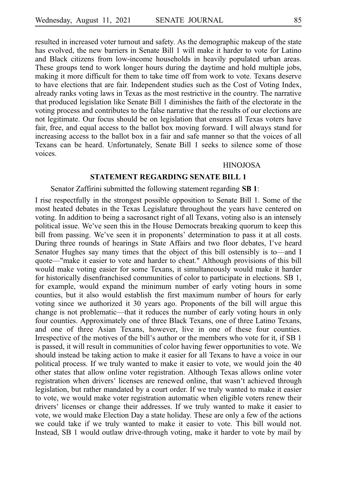resulted in increased voter turnout and safety. As the demographic makeup of the state has evolved, the new barriers in Senate Bill 1 will make it harder to vote for Latino and Black citizens from low-income households in heavily populated urban areas. These groups tend to work longer hours during the daytime and hold multiple jobs, making it more difficult for them to take time off from work to vote. Texans deserve to have elections that are fair. Independent studies such as the Cost of Voting Index, already ranks voting laws in Texas as the most restrictive in the country. The narrative that produced legislation like Senate Bill 1 diminishes the faith of the electorate in the voting process and contributes to the false narrative that the results of our elections are not legitimate. Our focus should be on legislation that ensures all Texas voters have fair, free, and equal access to the ballot box moving forward. I will always stand for increasing access to the ballot box in a fair and safe manner so that the voices of all Texans can be heard. Unfortunately, Senate Bill 1 seeks to silence some of those voices.

#### HINOJOSA

## **STATEMENT REGARDING SENATE BILL 1**

#### Senator Zaffirini submitted the following statement regarding **SB 1**:

I rise respectfully in the strongest possible opposition to Senate Bill 1. Some of the most heated debates in the Texas Legislature throughout the years have centered on voting. In addition to being a sacrosanct right of all Texans, voting also is an intensely political issue. We've seen this in the House Democrats breaking quorum to keep this bill from passing. We've seen it in proponents' determination to pass it at all costs. During three rounds of hearings in State Affairs and two floor debates, I've heard Senator Hughes say many times that the object of this bill ostensibly is to—and I quote—"make it easier to vote and harder to cheat." Although provisions of this bill would make voting easier for some Texans, it simultaneously would make it harder for historically disenfranchised communities of color to participate in elections. SB 1, for example, would expand the minimum number of early voting hours in some counties, but it also would establish the first maximum number of hours for early voting since we authorized it 30 years ago. Proponents of the bill will argue this change is not problematic—that it reduces the number of early voting hours in only four counties. Approximately one of three Black Texans, one of three Latino Texans, and one of three Asian Texans, however, live in one of these four counties. Irrespective of the motives of the bill's author or the members who vote for it, if SB 1 is passed, it will result in communities of color having fewer opportunities to vote. We should instead be taking action to make it easier for all Texans to have a voice in our political process. If we truly wanted to make it easier to vote, we would join the 40 other states that allow online voter registration. Although Texas allows online voter registration when drivers' licenses are renewed online, that wasn't achieved through legislation, but rather mandated by a court order. If we truly wanted to make it easier to vote, we would make voter registration automatic when eligible voters renew their drivers' licenses or change their addresses. If we truly wanted to make it easier to vote, we would make Election Day a state holiday. These are only a few of the actions we could take if we truly wanted to make it easier to vote. This bill would not. Instead, SB 1 would outlaw drive-through voting, make it harder to vote by mail by